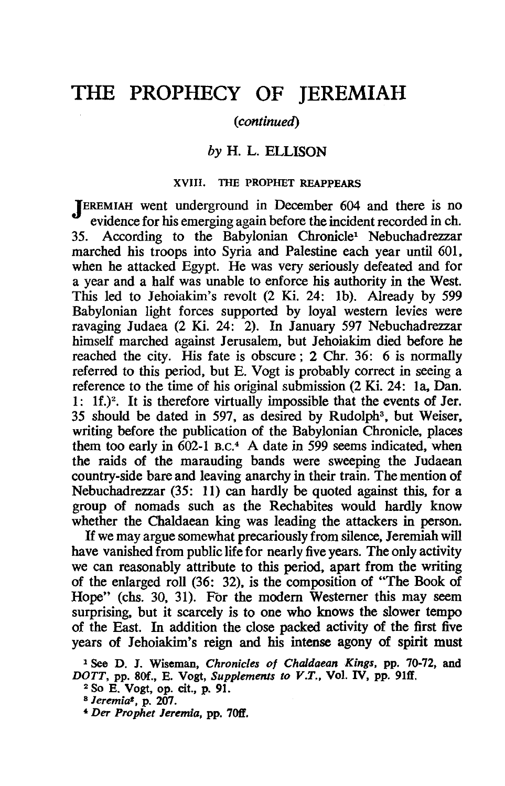# **THE PROPHECY OF JEREMIAH**

### *(continued)*

## *by* H. L. ELLISON

## XVIII. THE PROPHET REAPPEARS

JEREMIAH went underground in December 604 and there is no v evidence for his emerging again before the incident recorded in ch.<br>35. According to the Babylonian Chronicle<sup>1</sup> Nebuchadrezzar According to the Babylonian Chronicle<sup>1</sup> Nebuchadrezzar marched his troops into Syria and Palestine each year until 601, when he attacked Egypt. He was very seriously defeated and for a year and a half was unable to enforce his authority in the West. This led to Jehoiakim's revolt (2 Ki. 24: lb). Already by 599 Babylonian light forces supported by loyal western levies were ravaging Judaea (2 Ki. 24: 2). In January 597 Nebuchadrezzar himself marched against Jerusalem, but Jehoiakim died before he reached the city. His fate is obscure; 2 Chr. 36: 6 is normally referred to this period, but E. Vogt is probably correct in seeing a reference to the time of his original submission (2 Ki. 24: la, Dan. 1: If.)2. It is therefore virtually impossible that the events of Jer. 35 should be dated in 597, as desired by Rudolph3 , but Weiser, writing before the publication of the Babylonian Chronicle, places them too early in  $602-1$  B.C.<sup>4</sup> A date in 599 seems indicated, when the raids of the marauding bands were sweeping the Judaean country-side bare and leaving anarchy in their train. The mention of Nebuchadrezzar (35: 11) can hardly be quoted against this, for a group of nomads such as the Rechabites would hardly know whether the Chaldaean king was leading the attackers in person.

If we may argue somewhat precariously from silence, Jeremiah will have vanished from public life for nearly five years. The only activity we can reasonably attribute to this period, apart from the writing of the enlarged roll (36: 32), is the composition of "The Book of Hope" (chs. 30, 31). For the modem Westerner this may seem surprising, but it scarcely is to one who knows the slower tempo of the East. In addition the close packed activity of the first five years of Jehoiakim's reign and his intense agony of spirit must

<sup>1</sup> See D. 1. Wiseman, *Chronicles* of *Chaldaean Kings,* pp. 70-72, and *DOTT*, pp. 80f., E. Vogt, *Supplements to V.T.*, Vol. IV, pp. 91ff.

<sup>2</sup> So E. Vogt, op. cit., p. 91.

<sup>8</sup> J *eremia',* p. 207.

*<sup>•</sup> Der Prophet Jeremia,* pp. 7011.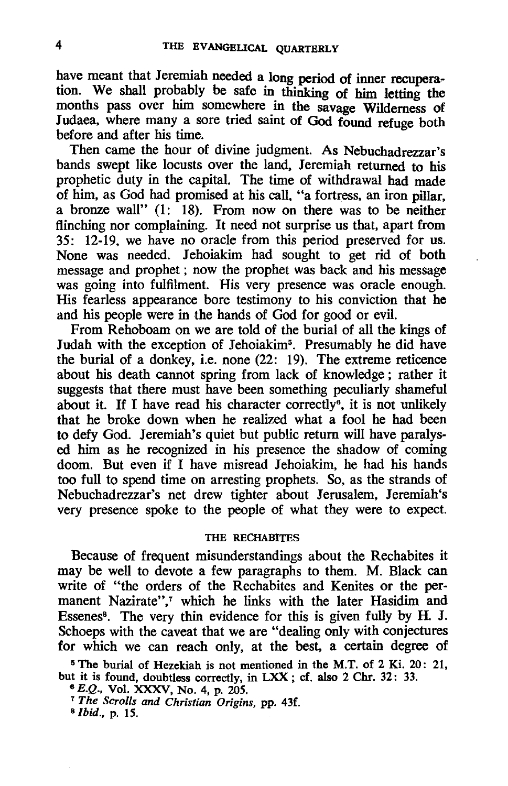have meant that Jeremiah needed a long period of inner recuperation. We shall probably be safe in thinking of him letting the months pass over him somewhere in the savage Wilderness of Judaea. where many a sore tried saint of God found refuge both before and after his time.

Then came the hour of divine judgment. As Nebuchadrezzar's bands swept like locusts over the land. Jeremiah returned to his prophetic duty in the capital. The time of withdrawal had made of him, as God had promised at his call, "a fortress, an iron pillar. a bronze wall" (1: 18). From now on there was to be neither flinching nor complaining. It need not surprise us that, apart from 35: 12~19. we have no oracle from this period preserved for us. None was needed. Jehoiakim had sought to get rid of both message and prophet; now the prophet was back and his message was going into fulfilment. His very presence was oracle enough. His fearless appearance bore testimony to his conviction that he and his people were in the hands of God for good or evil.

From Rehoboam on we are told of the burial of all the kings of Judah with the exception of Jehoiakim<sup>5</sup>. Presumably he did have the burial of a donkey. i.e. none (22: 19). The extreme reticence about his death cannot spring from lack of knowledge; rather it suggests that there must have been something peculiarly shameful about it. If I have read his character correctly<sup>6</sup>, it is not unlikely that he broke down when he realized what a fool he had been to defy God. Jeremiah's quiet but public return will have paralys~ ed him as he recognized in his presence the shadow of coming doom. But even if I have misread Jehoiakim, he had his hands too full to spend time on arresting prophets. So, as the strands of Nebuchadrezzar's net drew tighter about Jerusalem, Jeremiah's very presence spoke to the people of what they were to expect.

# THE RECHABITES

Because of frequent misunderstandings about the Rechabites it may be well to devote a few paragraphs to them. M. Black can write of "the orders of the Rechabites and Kenites or the permanent Nazirate",7 which he links with the later Hasidim and Essenes<sup>8</sup>. The very thin evidence for this is given fully by H. J. Schoeps with the caveat that we are "dealing only with conjectures for which we can reach only, at the best, a certain degree of

5 The burial of Hezekiah is not mentioned in the M.T. of 2 Ki. 20: 21, but it is found, doubtless correctly, in LXX ; cf. also 2 Chr. 32: 33.

*<sup>6</sup>*E.Q., Vol. XXXV, No. 4, p. 205.

<sup>7</sup>*The Scrolls and Christian Origins,* pp. 43f.

*a/bid.,* p. 15.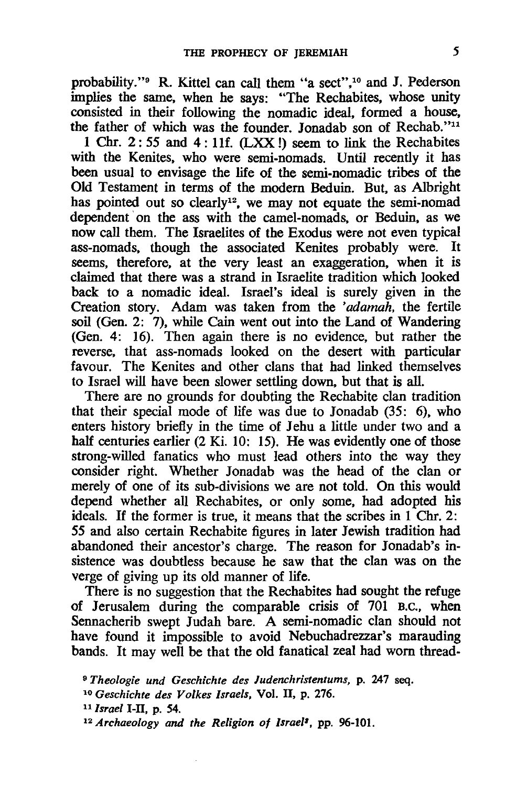probability. "9 R. Kittel can call them "a sect".10 and J. Pederson implies the same. when he says: "The Rechabites. whose unity consisted in their following the nomadic ideal. formed a house. the father of which was the founder. Jonadab son of Rechab."<sup>11</sup>

1 Chr. 2: 55 and 4 : I1f. (LXX 1) seem to link the Rechabites with the Kenites, who were semi-nomads. Until recently it has been usual to envisage the life of the semi-nomadic tribes of the Old Testament in terms of the modem Beduin. But. as Albright has pointed out so clearly<sup>12</sup>, we may not equate the semi-nomad dependent on the ass with the camel-nomads, or Beduin, as we now call them. The Israelites of the Exodus were not even typical ass-nomads, though the associated Kenites probably were. It seems, therefore, at the very least an exaggeration, when it is claimed that there was a strand in Israelite tradition which looked back to a nomadic ideal. Israel's ideal is surely given in the Creation story. Adam was taken from the *'adamah,* the fertile soil (Gen. 2: 7). while Cain went out into the Land of Wandering (Gen. 4: 16). Then again there is no evidence. but rather the reverse. that ass-nomads looked on the desert with particular favour. The Kenites and other clans that had linked themselves to Israel will have been slower settling down, but that is all.

There are no grounds for doubting the Rechabite clan tradition that their special mode of life was due to Jonadab (35: 6), who enters history briefly in the time of Jehu a little under two and a half centuries earlier (2 Ki. 10: 15). He was evidently one of those strong-willed fanatics who must lead others into the way they consider right. Whether Jonadab was the head of the clan or merely of one of its sub-divisions we are not told. On this would depend whether all Rechabites. or only some, had adopted his ideals. If the former is true. it means that the scribes in 1 Chr. 2: 55 and also certain Rechabite figures in later Jewish tradition had abandoned their ancestor's charge. The reason for Jonadab's insistence was doubtless because he saw that the clan was on the verge of giving up its old manner of life.

There is no suggestion that the Rechabites had sought the refuge of Jerusalem during the comparable crisis of 701 D.C., when Sennacherib swept Judah bare. A semi-nomadic clan should not have found it impossible to avoid Nebuchadrezzar's marauding bands. It may well be that the old fanatical zeal had worn thread-

<sup>11</sup>*Israel* 1-11, p. 54.

<sup>9</sup>*Theologie und Geschichte des ludenchristentums.* p. 247 seq.

*<sup>10</sup> Geschichte des Volkes Israels,* Vol. 11, p. 276.

*<sup>12</sup> Archaeology and the Religion of Israel'.* pp. 96-101.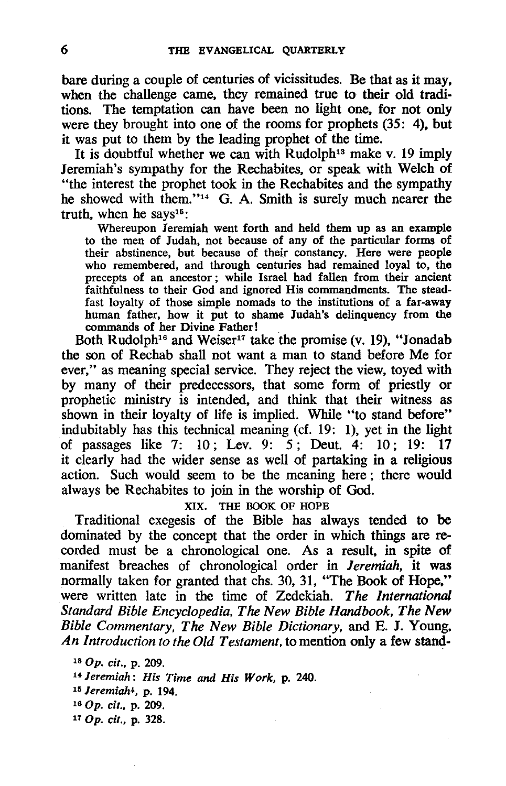bare during a couple of centuries of vicissitudes. Be that as it may, when the challenge came, they remained true to their old traditions. The temptation can have been no light one, for not only were they brought into one of the rooms for prophets (35: 4), but it was put to them by the leading prophet of the time.

It is doubtful whether we can with Rudolph<sup>13</sup> make v. 19 imply Jeremiah's sympathy for the Rechabites, or speak with Welch of "the interest the prophet took in the Rechabites and the sympathy he showed with them."<sup>14</sup> G. A. Smith is surely much nearer the truth, when he says $15$ :

Whereupon Jeremiah went forth and held them up as an example to the men of Judah, not because of any of the particular forms of their abstinence, but because of their constancy. Here were people who remembered, and through centuries had remained loyal to, the precepts of an ancestor; while Israel had fallen from their ancient faithfulness to their God and ignored His commandments. The steadfast loyalty of those simple nomads to the institutions of a far-away human father, how it put to shame Judah's delinquency from the commands of her Divine Father!

Both Rudolph<sup>16</sup> and Weiser<sup>17</sup> take the promise (v. 19), "Jonadab the son of Rechab shall not want a man to stand before Me for ever," as meaning special service. They reject the view. toyed with by many of their predecessors. that some form of priestly or prophetic ministry is intended. and think that their witness as shown in their loyalty of life is implied. While "to stand before" indubitably has this technical meaning (cf. 19: 1). yet in the light of passages like 7: 10; Lev. 9: 5; Deut. 4: 10; 19: 17 it clearly had the wider sense as well of partaking in a religious action. Such would seem to be the meaning here; there would always be Rechabites to join in the worship of God.

XIX. THE BOOK OF HOPE

Traditional exegesis of the Bible has always tended to be dominated by the concept that the order in which things are recorded must be a chronological one. As a result. in spite of manifest breaches of chronological order in *Jeremiah.* it was normally taken for granted that chs. 30. 31. "The Book of Hope," were written late in the time of Zedekiah. The International *Standard Bible Encyclopedia, The New Bible Handbook. The New Bible Commentary, The New Bible Dictionary.* and E. J. Young. *An Introduction to the Old Testament,* to mention only a few stand-

- 160p. *cit.,* p. 209.
- 110p. *cit.,* p. 328.

<sup>130</sup>p. *cit.,* p. 209.

<sup>B</sup>*Jeremiah: His Time and His Work,* p. 240.

<sup>15</sup> *Jeremiah4,* p. 194.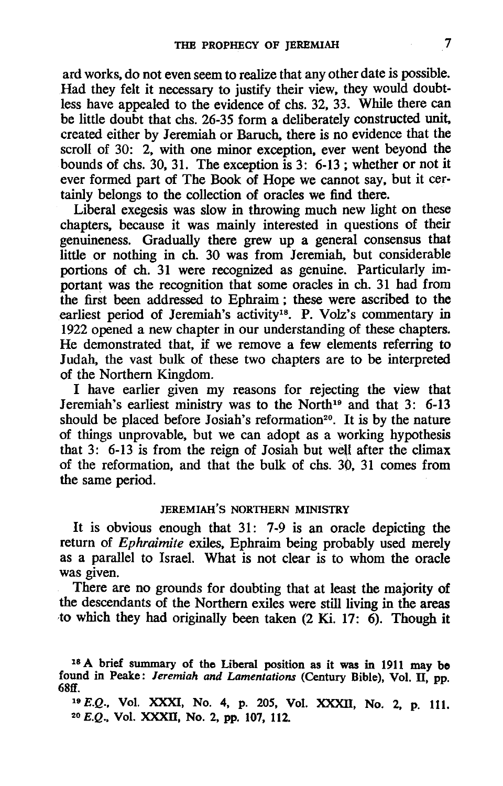ard works. do not even seem to realize that any other date is possible. Had they felt it necessary to justify their view. they would doubtless have appealed to the evidence of chs. 32. 33. While there can be little doubt that chs. 26-35 form a deliberately constructed unit, created either by Jeremiah or Baruch. there is no evidence that the scroll of 30: 2. with one minor exception. ever went beyond the bounds of chs. 30, 31. The exception is  $3: 6-13$ ; whether or not it ever formed part of The Book of Hope we cannot say. but it certainly belongs to the collection of oracles we find there.

Liberal exegesis was slow in throwing much new light on these chapters. because it was mainly interested in questions of their genuineness. Gradually there grew up a general consensus that little or nothing in ch. 30 was from Jeremiah. but considerable portions of ch. 31 were recognized as genuine. Particularly important was the recognition that some oracles in ch. 31 had from the first been addressed to Ephraim; these were ascribed to the earliest period of Jeremiah's activity<sup>18</sup>. P. Volz's commentary in 1922 opened a new chapter in our understanding of these chapters. He demonstrated that. if we remove a few elements referring to Judah. the vast bulk of these two chapters are to be interpreted of the Northern Kingdom.

I have earlier given my reasons for rejecting the view that Jeremiah's earliest ministry was to the North<sup>19</sup> and that 3: 6-13 should be placed before Josiah's reformation<sup>20</sup>. It is by the nature of things unprovable. but we can adopt as a working hypothesis that  $3: 6-13$  is from the reign of Josiah but well after the climax of the reformation. and that the bulk of chs. 30. 31 comes from the same period.

### JEREMIAH'S NORTHERN MINISTRY

It is obvious enough that 31: 7-9 is an oracle depicting the return of *Ephraimite* exiles. Ephraim being probably used merely as a parallel to Israel. What is not clear is to whom the oracle was given.

There are no grounds for doubting that at least the majority of the descendants of the Northern exiles were still living in the areas to which they had originally been taken (2 Ki. 17: 6). Though it

<sup>18</sup> A brief summary of the Liberal position as it was in 1911 may be found in Peake: *Jeremiah and Lamentations* (Century Bible), Vol. II, pp. 68ff  $68ff.$ 

*<sup>19</sup>*E.Q., Vol. XXXI, No. 4, p. 205, Vol. XXXII, No. 2, p. 111. *20* E.Q., Vol. XXXII, No. 2, pp. 107, 112.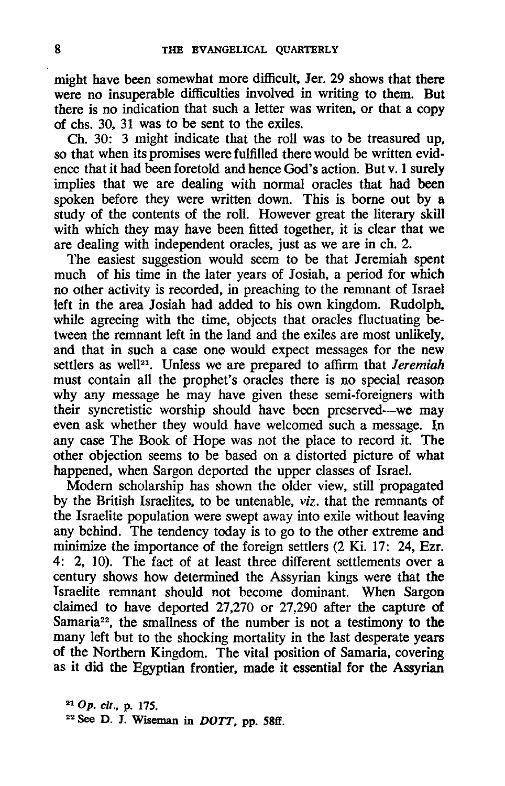might have been somewhat more difficult, Jer. 29 shows that there were no insuperable difficulties involved in writing to them. But there is no indication that such a letter was writen, or that a copy of chs. 30, 31 was to be sent to the exiles.

Ch. 30: 3 might indicate that the roll was to be treasured up, so that when its promises were fulfilled there would be written evidence that it had been foretold and hence God's action. But v. 1 surely implies that we are dealing with normal oracles that had been spoken before they were written down. This is borne out by a study of the contents of the roll. However great the literary skill with which they may have been fitted together, it is clear that we are dealing with independent oracles, just as we are in ch. 2.

The easiest suggestion would seem to be that Jeremiah spent much of his time in the later years of Josiah, a period for which no other activity is recorded, in preaching to the remnant of Israel left in the area Josiah had added to his own kingdom. Rudolph, while agreeing with the time, objects that oracles fluctuating between the remnant left in the land and the exiles are most unlikely, and that in such a case one would expect messages for the new settlers as well<sup>21</sup>. Unless we are prepared to affirm that *Jeremiah* must contain all the prophet's oracles there is no special reason why any message he may have given these semi-foreigners with their syncretistic worship should have been preserved-we may even ask whether they would have welcomed such a message. In any case The Book of Hope was not the place to record it. The other objection seems to be based on a distorted picture of what happened, when Sargon deported the upper classes of Israel.

Modem scholarship has shown the older view, still propagated by the British Israelites, to be untenable, *viz.* that the remnants of the Israelite population were swept away into exile without leaving any behind. The tendency today is to go to the other extreme and minimize the importance of the foreign settlers (2 Ki. 17: 24, Ezr. 4: 2, 10). The fact of at least three different settlements over a century shows how determined the Assyrian kings were that the Israelite remnant should not become dominant. When Sargon claimed to have deported 27,270 or 27,290 after the capture of Samaria<sup>22</sup>, the smallness of the number is not a testimony to the many left but to the shocking mortality in the last desperate years of the Northern Kingdom. The vital position of Samaria, covering as it did the Egyptian frontier, made it essential for the Assyrian

210p. *cit.,* p. 175.  $22$  See D. J. Wiseman in *DOTT*, pp. 58ff.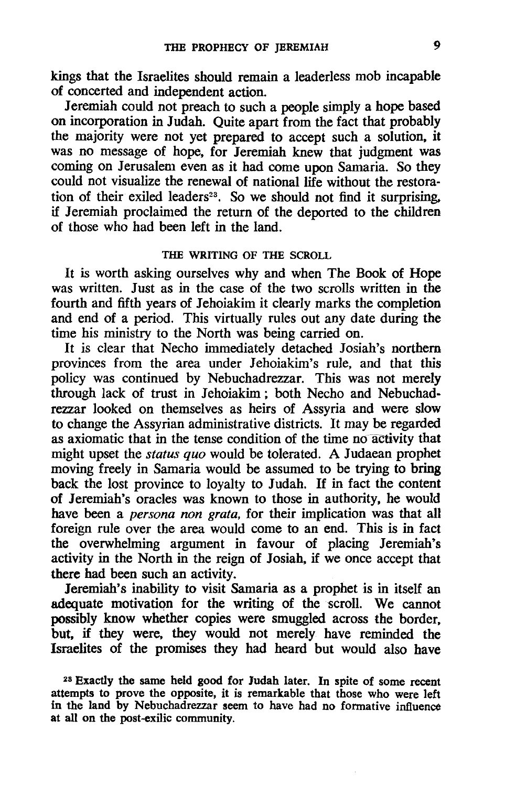kings that the Israelites should remain a leaderless mob incapable of concerted and independent action.

Jeremiah could not preach to such a people simply a hope based on incorporation in Judah. Quite apart from the fact that probably the majority were not yet prepared to accept such a solution, it was no message of hope, for Jeremiah knew that judgment was coming on Jerusalem even as it had come upon Samaria. So they could not visualize the renewal of national life without the restoration of their exiled leaders<sup>23</sup>. So we should not find it surprising, if Jeremiah proclaimed the return of the deported to the children of those who had been left in the land.

#### THE WRITING OF THE SCROLL

It is worth asking ourselves why and when The Book of Hope was written. Just as in the case of the two scrolls written in the fourth and fifth years of Jehoiakim it clearly marks the completion and end of a period. This virtually rules out any date during the time his ministry to the North was being carried on.

It is clear that Necho immediately detached 10siah's northern provinces from the area under lehoiakim's rule, and that this policy was continued by Nebuchadrezzar. This was not merely through lack of trust in lehoiakim; both Necho and Nebuchadrezzar looked on themselves as heirs of Assyria and were slow to change the Assyrian administrative districts. It may be regarded as axiomatic that in the tense condition of the time no-activity that might upset the *status quo* would be tolerated. A Judaean prophet moving freely in Samaria would be assumed to be trying to bring back the lost province to loyalty to Judah. If in fact the content of Jeremiah's oracles was known to those in authority, he would have been a *persona non grata,* for their implication was that all foreign rule over the area would come to an end. This is in fact the overwhelming argument in favour of placing Jeremiah's activity in the North in the reign of Josiah, if we once accept that there had been such an activity.

Jeremiah's inability to visit Samaria as a prophet is in itself an adequate motivation for the writing of the scroll. We cannot possibly know whether copies were smuggled across the border, but, if they were, they would not merely have reminded the Israelites of the promises they had heard but would also have

<sup>&</sup>lt;sup>23</sup> Exactly the same held good for Judah later. In spite of some recent attempts to prove the opposite, it is remarkable that those who were left in the land by Nebuchadrezzar seem to have had no formative influence at all on the post-exilic community.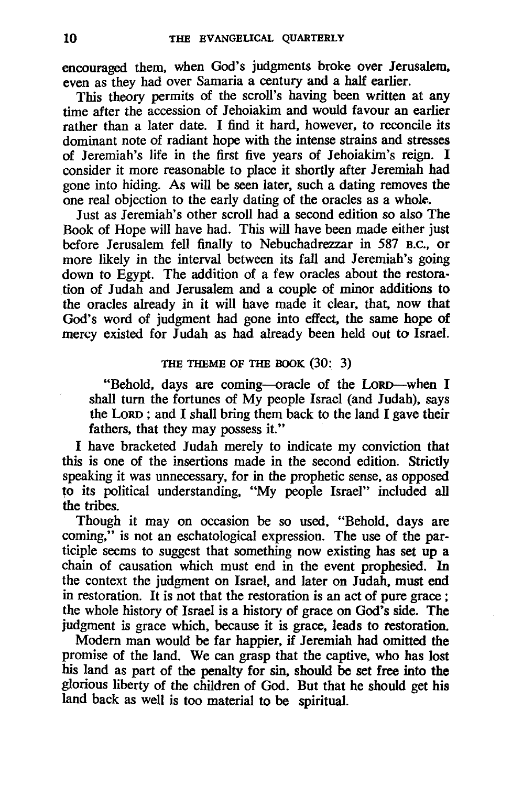encouraged them. when God's judgments broke over Jerusalem. even as they had over Samaria a century and a half earlier.

This theory permits of the scroll's having been written at any time after the accession of Jehoiakim and would favour an earlier rather than a later date. I find it hard. however. to reconcile its dominant note of radiant hope with the intense strains and stresses of Jeremiah's life in the first five years of Jehoiakim's reign. I consider it more reasonable to place it shortly after Jeremiah had gone into hiding. As will be seen later. such a dating removes the one real objection to the early dating of the oracles as a whole.

Just as Jeremiah's other scroll had a second edition so also The Book of Hope will have had. This will have been made either just before Jerusalem fell finally to Nebuchadrezzar in 587 B.C., or more likely in the interval between its fall and Jeremiah's going down to Egypt. The addition of a few oracles about the restoration of Judah and Jerusalem and a couple of minor additions to the oracles already in it will have made it clear. that. now that God's word of judgment had gone into effect. the same hope of mercy existed for Judah as had already been held out to Israel.

## THE THEME OF THE BOOK (30: 3)

"Behold. days are coming-oracle of the LoRD-when I shall turn the fortunes of My people Israel (and Judah). says the LoRD ; and I shall bring them back to the land I gave their fathers. that they may possess it."

I have bracketed Judah merely to indicate my conviction that this is one of the insertions made in the second edition. Strictly speaking it was unnecessary. for in the prophetic sense. as opposed to its political understanding, "My people Israel" included all the tribes.

Though it may on occasion be so used. "Behold. days are coming." is not an eschatological expression. The use of the participle seems to suggest that something now existing has set up a chain of causation which must end in the event prophesied. In the context the judgment on Israel. and later on Judah. must end in restoration. It is not that the restoration is an act of pure grace ; the whole history of Israel is a history of grace on God's side. The judgment is grace which. because it is grace. leads to restoration.

Modem man would be far happier. if Jeremiah had omitted the promise of the land. We can grasp that the captive. who has lost his land as part of the penalty for sin, should be set free into the glorious liberty of the children of God. But that he should get his land back as well is too material to be spiritual.